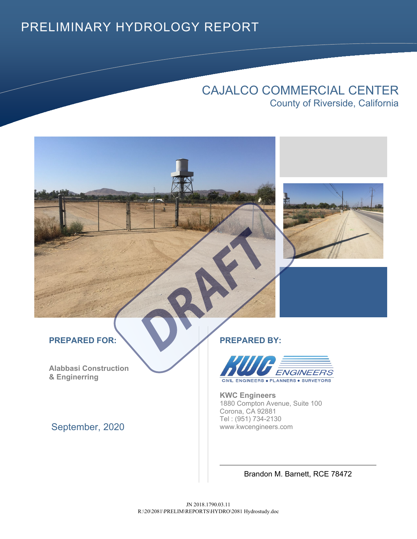### PRELIMINARY HYDROLOGY REPORT

### CAJALCO COMMERCIAL CENTER County of Riverside, California



**Alabbasi Construction & Enginerring**

September, 2020



**KWC Engineers** 1880 Compton Avenue, Suite 100 Corona, CA 92881 Tel : (951) 734-2130 www.kwcengineers.com

Brandon M. Barnett, RCE 78472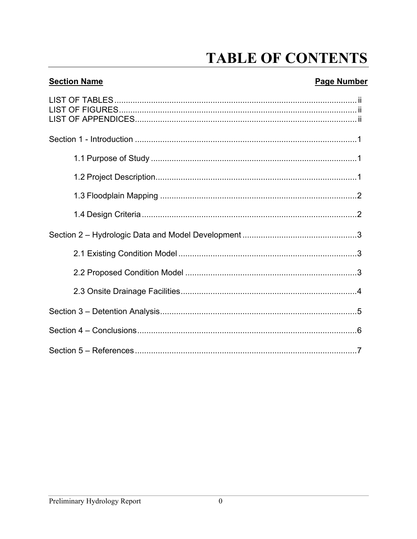## **TABLE OF CONTENTS**

### **Section Name**

#### **Page Number**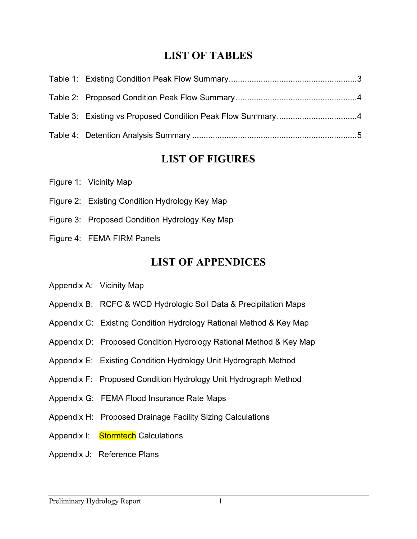### **LIST OF TABLES**

### **LIST OF FIGURES**

|  | Figure 1: Vicinity Map |  |
|--|------------------------|--|
|  |                        |  |

- Figure 2: Existing Condition Hydrology Key Map
- Figure 3: Proposed Condition Hydrology Key Map
- Figure 4: FEMA FIRM Panels

### **LIST OF APPENDICES**

- Appendix A: Vicinity Map
- Appendix B: RCFC & WCD Hydrologic Soil Data & Precipitation Maps
- Appendix C: Existing Condition Hydrology Rational Method & Key Map
- Appendix D: Proposed Condition Hydrology Rational Method & Key Map
- Appendix E: Existing Condition Hydrology Unit Hydrograph Method
- Appendix F: Proposed Condition Hydrology Unit Hydrograph Method
- Appendix G: FEMA Flood Insurance Rate Maps
- Appendix H: Proposed Drainage Facility Sizing Calculations
- Appendix I: Stormtech Calculations
- Appendix J: Reference Plans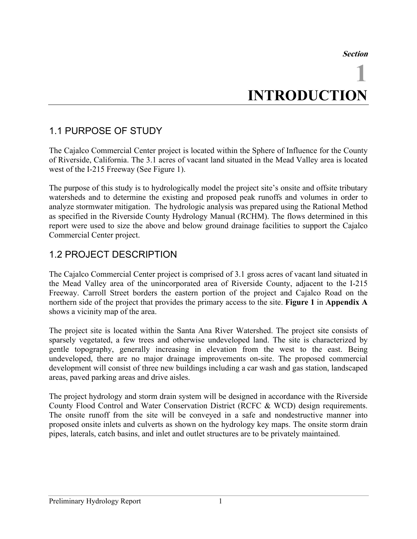**Section**

# **1 INTRODUCTION**

### 1.1 PURPOSE OF STUDY

The Cajalco Commercial Center project is located within the Sphere of Influence for the County of Riverside, California. The 3.1 acres of vacant land situated in the Mead Valley area is located west of the I-215 Freeway (See Figure 1).

The purpose of this study is to hydrologically model the project site's onsite and offsite tributary watersheds and to determine the existing and proposed peak runoffs and volumes in order to analyze stormwater mitigation. The hydrologic analysis was prepared using the Rational Method as specified in the Riverside County Hydrology Manual (RCHM). The flows determined in this report were used to size the above and below ground drainage facilities to support the Cajalco Commercial Center project.

#### 1.2 PROJECT DESCRIPTION

The Cajalco Commercial Center project is comprised of 3.1 gross acres of vacant land situated in the Mead Valley area of the unincorporated area of Riverside County, adjacent to the I-215 Freeway. Carroll Street borders the eastern portion of the project and Cajalco Road on the northern side of the project that provides the primary access to the site. **Figure 1** in **Appendix A** shows a vicinity map of the area.

The project site is located within the Santa Ana River Watershed. The project site consists of sparsely vegetated, a few trees and otherwise undeveloped land. The site is characterized by gentle topography, generally increasing in elevation from the west to the east. Being undeveloped, there are no major drainage improvements on-site. The proposed commercial development will consist of three new buildings including a car wash and gas station, landscaped areas, paved parking areas and drive aisles.

The project hydrology and storm drain system will be designed in accordance with the Riverside County Flood Control and Water Conservation District (RCFC & WCD) design requirements. The onsite runoff from the site will be conveyed in a safe and nondestructive manner into proposed onsite inlets and culverts as shown on the hydrology key maps. The onsite storm drain pipes, laterals, catch basins, and inlet and outlet structures are to be privately maintained.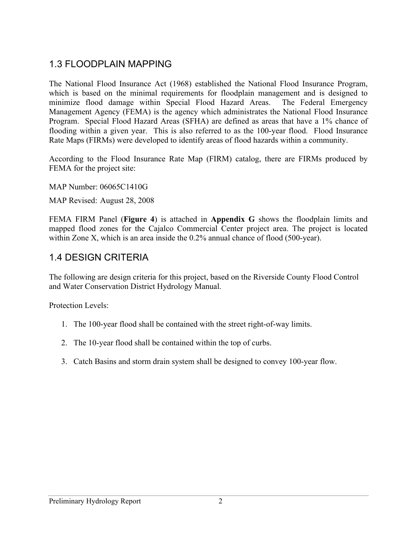### 1.3 FLOODPLAIN MAPPING

The National Flood Insurance Act (1968) established the National Flood Insurance Program, which is based on the minimal requirements for floodplain management and is designed to minimize flood damage within Special Flood Hazard Areas. The Federal Emergency Management Agency (FEMA) is the agency which administrates the National Flood Insurance Program. Special Flood Hazard Areas (SFHA) are defined as areas that have a 1% chance of flooding within a given year. This is also referred to as the 100-year flood. Flood Insurance Rate Maps (FIRMs) were developed to identify areas of flood hazards within a community.

According to the Flood Insurance Rate Map (FIRM) catalog, there are FIRMs produced by FEMA for the project site:

MAP Number: 06065C1410G

MAP Revised: August 28, 2008

FEMA FIRM Panel (**Figure 4**) is attached in **Appendix G** shows the floodplain limits and mapped flood zones for the Cajalco Commercial Center project area. The project is located within Zone X, which is an area inside the 0.2% annual chance of flood (500-year).

#### 1.4 DESIGN CRITERIA

The following are design criteria for this project, based on the Riverside County Flood Control and Water Conservation District Hydrology Manual.

Protection Levels:

- 1. The 100-year flood shall be contained with the street right-of-way limits.
- 2. The 10-year flood shall be contained within the top of curbs.
- 3. Catch Basins and storm drain system shall be designed to convey 100-year flow.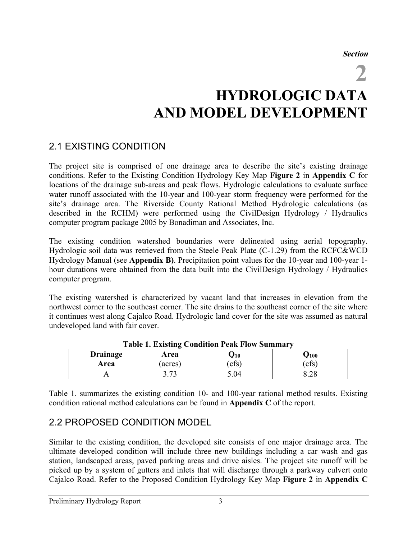**Section**

**2**

## **HYDROLOGIC DATA AND MODEL DEVELOPMENT**

#### 2.1 EXISTING CONDITION

The project site is comprised of one drainage area to describe the site's existing drainage conditions. Refer to the Existing Condition Hydrology Key Map **Figure 2** in **Appendix C** for locations of the drainage sub-areas and peak flows. Hydrologic calculations to evaluate surface water runoff associated with the 10-year and 100-year storm frequency were performed for the site's drainage area. The Riverside County Rational Method Hydrologic calculations (as described in the RCHM) were performed using the CivilDesign Hydrology / Hydraulics computer program package 2005 by Bonadiman and Associates, Inc.

The existing condition watershed boundaries were delineated using aerial topography. Hydrologic soil data was retrieved from the Steele Peak Plate (C-1.29) from the RCFC&WCD Hydrology Manual (see **Appendix B)**. Precipitation point values for the 10-year and 100-year 1 hour durations were obtained from the data built into the CivilDesign Hydrology / Hydraulics computer program.

The existing watershed is characterized by vacant land that increases in elevation from the northwest corner to the southeast corner. The site drains to the southeast corner of the site where it continues west along Cajalco Road. Hydrologic land cover for the site was assumed as natural undeveloped land with fair cover.

| Table 1. Existing Condition I can Flow Building y |         |            |           |  |  |  |
|---------------------------------------------------|---------|------------|-----------|--|--|--|
| <b>Drainage</b>                                   | Area    | $\bm{J}10$ | $J_{100}$ |  |  |  |
| Area                                              | (acres) | cfs)       | cfs       |  |  |  |
|                                                   | רי ר    | - 04.ر     | 0.40      |  |  |  |

**Table 1. Existing Condition Peak Flow Summary**

Table 1. summarizes the existing condition 10- and 100-year rational method results. Existing condition rational method calculations can be found in **Appendix C** of the report.

### 2.2 PROPOSED CONDITION MODEL

Similar to the existing condition, the developed site consists of one major drainage area. The ultimate developed condition will include three new buildings including a car wash and gas station, landscaped areas, paved parking areas and drive aisles. The project site runoff will be picked up by a system of gutters and inlets that will discharge through a parkway culvert onto Cajalco Road. Refer to the Proposed Condition Hydrology Key Map **Figure 2** in **Appendix C**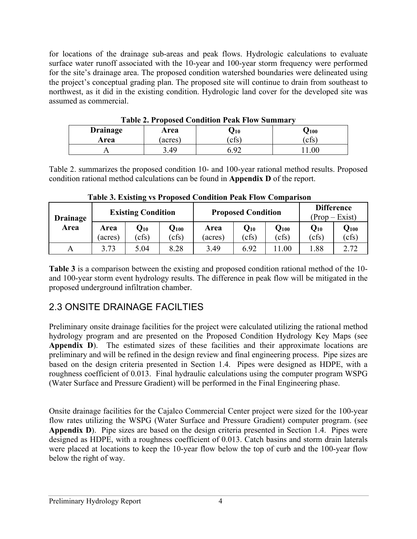for locations of the drainage sub-areas and peak flows. Hydrologic calculations to evaluate surface water runoff associated with the 10-year and 100-year storm frequency were performed for the site's drainage area. The proposed condition watershed boundaries were delineated using the project's conceptual grading plan. The proposed site will continue to drain from southeast to northwest, as it did in the existing condition. Hydrologic land cover for the developed site was assumed as commercial.

| Table 2. I reposed Condition I can Flow Building |        |          |             |  |  |  |
|--------------------------------------------------|--------|----------|-------------|--|--|--|
| <b>Drainage</b>                                  | Area   | $J_{10}$ | $\bm{J}100$ |  |  |  |
| Area                                             | acres) | cfs      | cfs         |  |  |  |
|                                                  | 49.ر   |          | 00          |  |  |  |

**Table 2. Proposed Condition Peak Flow Summary**

Table 2. summarizes the proposed condition 10- and 100-year rational method results. Proposed condition rational method calculations can be found in **Appendix D** of the report.

| <b>Drainage</b> | <b>Existing Condition</b> |                                     |                            | <b>Proposed Condition</b> |                            |                  | <b>Difference</b><br>$(Prop - Exist)$ |                    |
|-----------------|---------------------------|-------------------------------------|----------------------------|---------------------------|----------------------------|------------------|---------------------------------------|--------------------|
| Area            | Area<br>(acres)           | $\mathbf{Q}_{\mathbf{10}}$<br>(cfs) | $\mathbf{Q}_{100}$<br>cfs) | Area<br>(acres)           | $\mathbf{Q}_{10}$<br>(cfs) | $Q_{100}$<br>cfs | $Q_{10}$<br>(cfs)                     | $Q_{100}$<br>(cfs) |
|                 |                           |                                     |                            |                           |                            |                  |                                       |                    |
|                 | 3.73                      | 5.04                                | 8.28                       | 3.49                      | 6.92                       | 1.00             | 1.88                                  | 2.72               |

**Table 3. Existing vs Proposed Condition Peak Flow Comparison**

**Table 3** is a comparison between the existing and proposed condition rational method of the 10 and 100-year storm event hydrology results. The difference in peak flow will be mitigated in the proposed underground infiltration chamber.

### 2.3 ONSITE DRAINAGE FACILTIES

Preliminary onsite drainage facilities for the project were calculated utilizing the rational method hydrology program and are presented on the Proposed Condition Hydrology Key Maps (see **Appendix D**). The estimated sizes of these facilities and their approximate locations are preliminary and will be refined in the design review and final engineering process. Pipe sizes are based on the design criteria presented in Section 1.4. Pipes were designed as HDPE, with a roughness coefficient of 0.013. Final hydraulic calculations using the computer program WSPG (Water Surface and Pressure Gradient) will be performed in the Final Engineering phase.

Onsite drainage facilities for the Cajalco Commercial Center project were sized for the 100-year flow rates utilizing the WSPG (Water Surface and Pressure Gradient) computer program. (see **Appendix D**). Pipe sizes are based on the design criteria presented in Section 1.4. Pipes were designed as HDPE, with a roughness coefficient of 0.013. Catch basins and storm drain laterals were placed at locations to keep the 10-year flow below the top of curb and the 100-year flow below the right of way.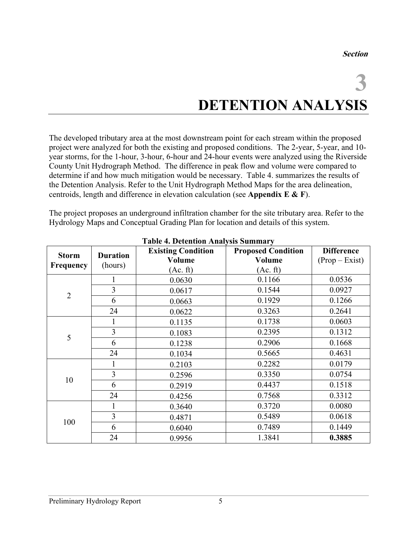## **3 DETENTION ANALYSIS**

The developed tributary area at the most downstream point for each stream within the proposed project were analyzed for both the existing and proposed conditions. The 2-year, 5-year, and 10 year storms, for the 1-hour, 3-hour, 6-hour and 24-hour events were analyzed using the Riverside County Unit Hydrograph Method. The difference in peak flow and volume were compared to determine if and how much mitigation would be necessary. Table 4. summarizes the results of the Detention Analysis. Refer to the Unit Hydrograph Method Maps for the area delineation, centroids, length and difference in elevation calculation (see **Appendix E & F**).

The project proposes an underground infiltration chamber for the site tributary area. Refer to the Hydrology Maps and Conceptual Grading Plan for location and details of this system.

|                  |                            | <b>1.</b> Detention Truth (515 Summar )<br><b>Existing Condition</b> | <b>Proposed Condition</b> | <b>Difference</b> |
|------------------|----------------------------|----------------------------------------------------------------------|---------------------------|-------------------|
| <b>Storm</b>     | <b>Duration</b><br>(hours) | Volume                                                               | <b>Volume</b>             | $(Prop - Exist)$  |
| <b>Frequency</b> |                            | (Ac. ft)                                                             | (Ac. ft)                  |                   |
|                  |                            | 0.0630                                                               | 0.1166                    | 0.0536            |
| $\overline{2}$   | 3                          | 0.0617                                                               | 0.1544                    | 0.0927            |
|                  | 6                          | 0.0663                                                               | 0.1929                    | 0.1266            |
|                  | 24                         | 0.0622                                                               | 0.3263                    | 0.2641            |
|                  |                            | 0.1135                                                               | 0.1738                    | 0.0603            |
|                  | 3                          | 0.1083                                                               | 0.2395                    | 0.1312            |
| 5                | 6                          | 0.1238                                                               | 0.2906                    | 0.1668            |
|                  | 24                         | 0.1034                                                               | 0.5665                    | 0.4631            |
|                  |                            | 0.2103                                                               | 0.2282                    | 0.0179            |
|                  | $\overline{3}$             | 0.2596                                                               | 0.3350                    | 0.0754            |
| 10               | 6                          | 0.2919                                                               | 0.4437                    | 0.1518            |
|                  | 24                         | 0.4256                                                               | 0.7568                    | 0.3312            |
| 100              |                            | 0.3640                                                               | 0.3720                    | 0.0080            |
|                  | 3                          | 0.4871                                                               | 0.5489                    | 0.0618            |
|                  | 6                          | 0.6040                                                               | 0.7489                    | 0.1449            |
|                  | 24                         | 0.9956                                                               | 1.3841                    | 0.3885            |

**Table 4. Detention Analysis Summary**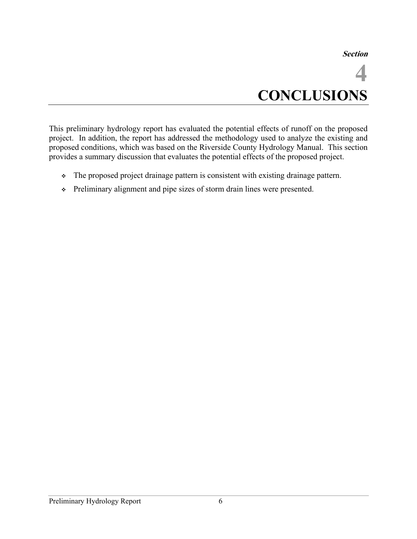**Section**

**4 CONCLUSIONS**

This preliminary hydrology report has evaluated the potential effects of runoff on the proposed project. In addition, the report has addressed the methodology used to analyze the existing and proposed conditions, which was based on the Riverside County Hydrology Manual. This section provides a summary discussion that evaluates the potential effects of the proposed project.

- The proposed project drainage pattern is consistent with existing drainage pattern.
- Preliminary alignment and pipe sizes of storm drain lines were presented.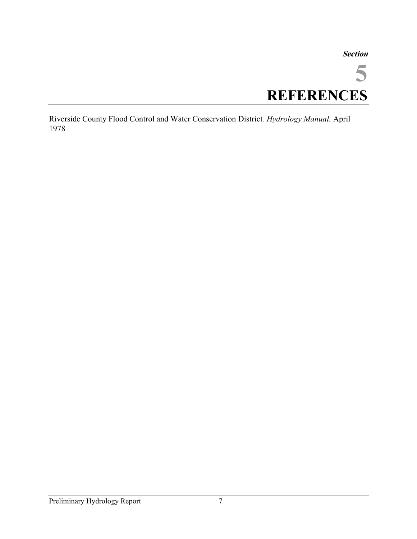#### **Section**

**5 REFERENCES**

Riverside County Flood Control and Water Conservation District*. Hydrology Manual.* April 1978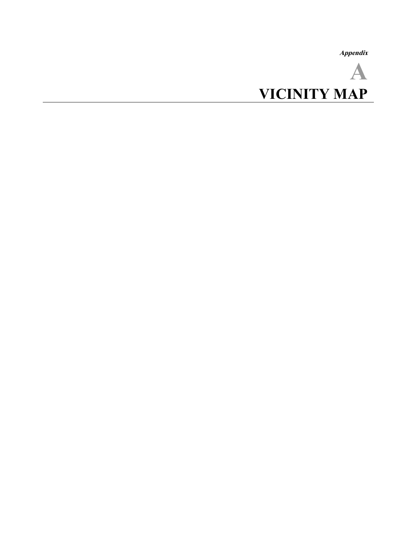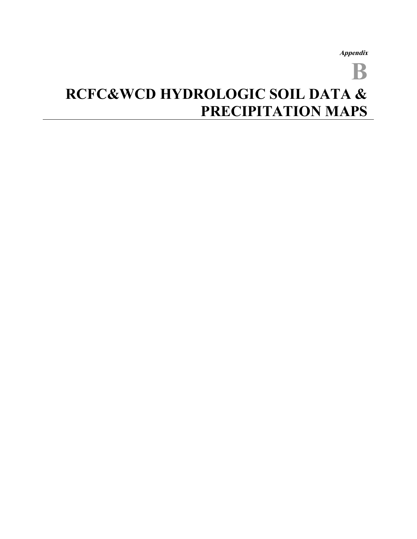**B**

## **RCFC&WCD HYDROLOGIC SOIL DATA & PRECIPITATION MAPS**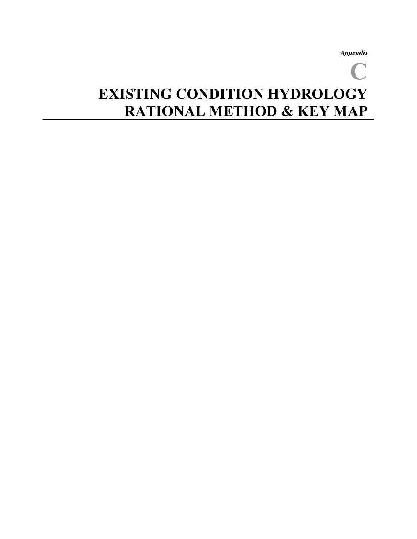## **C EXISTING CONDITION HYDROLOGY RATIONAL METHOD & KEY MAP**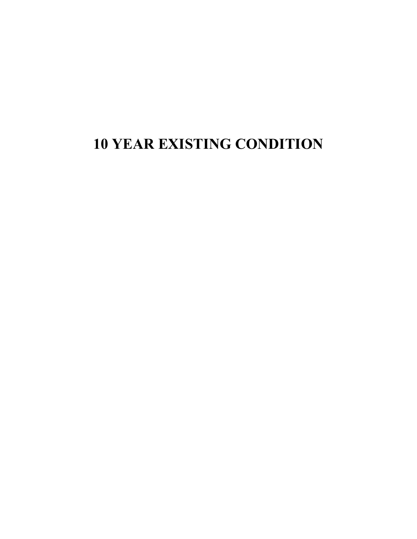### **YEAR EXISTING CONDITION**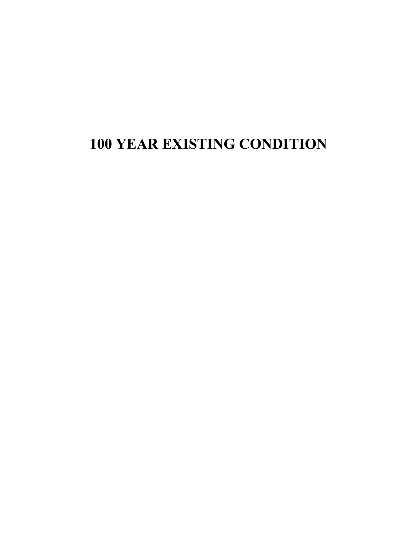### **100 YEAR EXISTING CONDITION**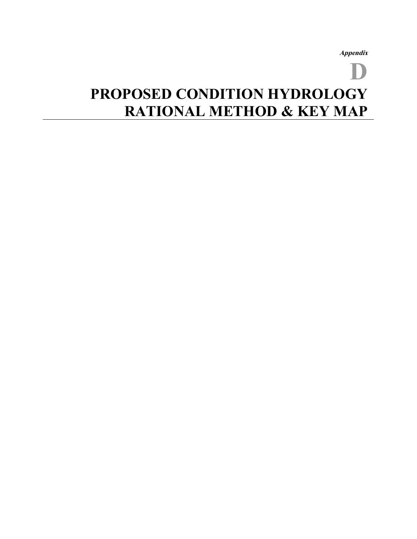## **D PROPOSED CONDITION HYDROLOGY RATIONAL METHOD & KEY MAP**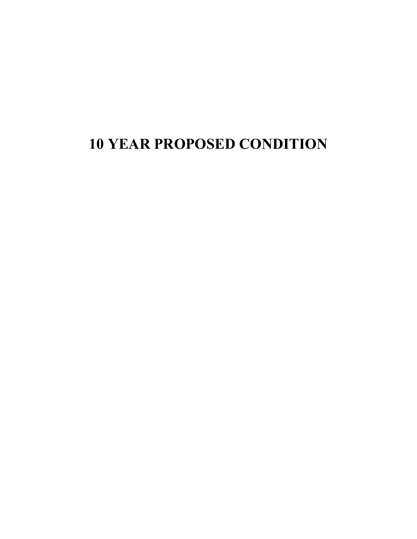### **10 YEAR PROPOSED CONDITION**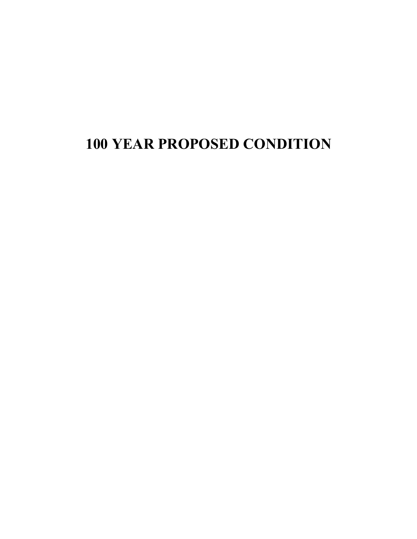### **100 YEAR PROPOSED CONDITION**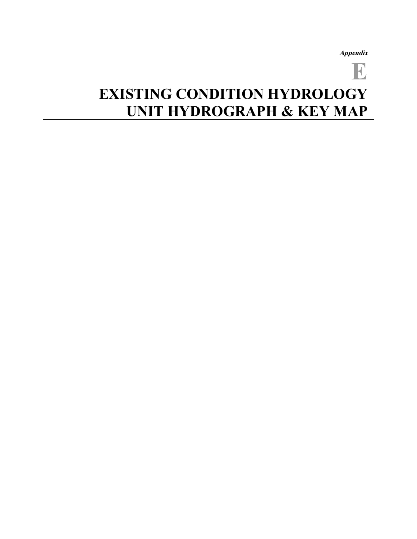## **E EXISTING CONDITION HYDROLOGY UNIT HYDROGRAPH & KEY MAP**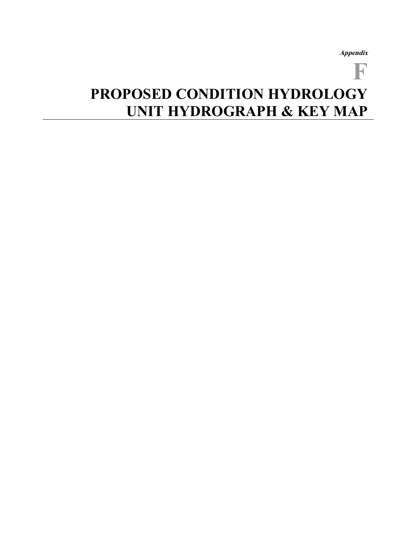**F**

# **PROPOSED CONDITION HYDROLOGY UNIT HYDROGRAPH & KEY MAP**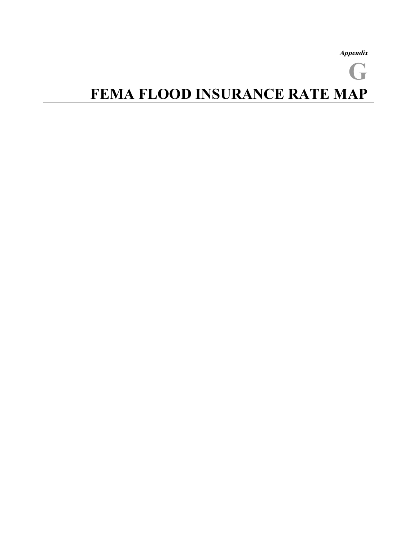**Appendix G FEMA FLOOD INSURANCE RATE MAP**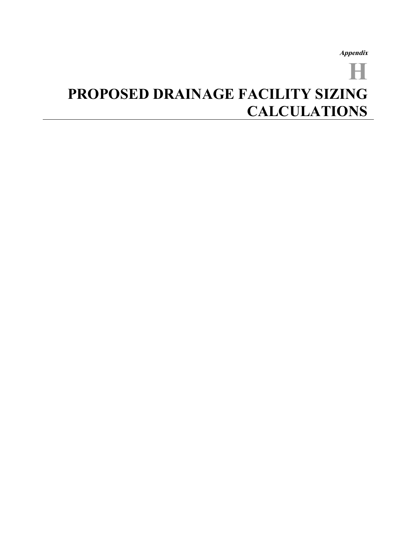## **H PROPOSED DRAINAGE FACILITY SIZING CALCULATIONS**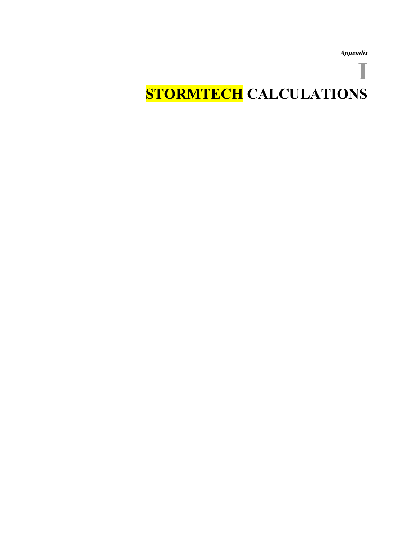# **I STORMTECH CALCULATIONS**